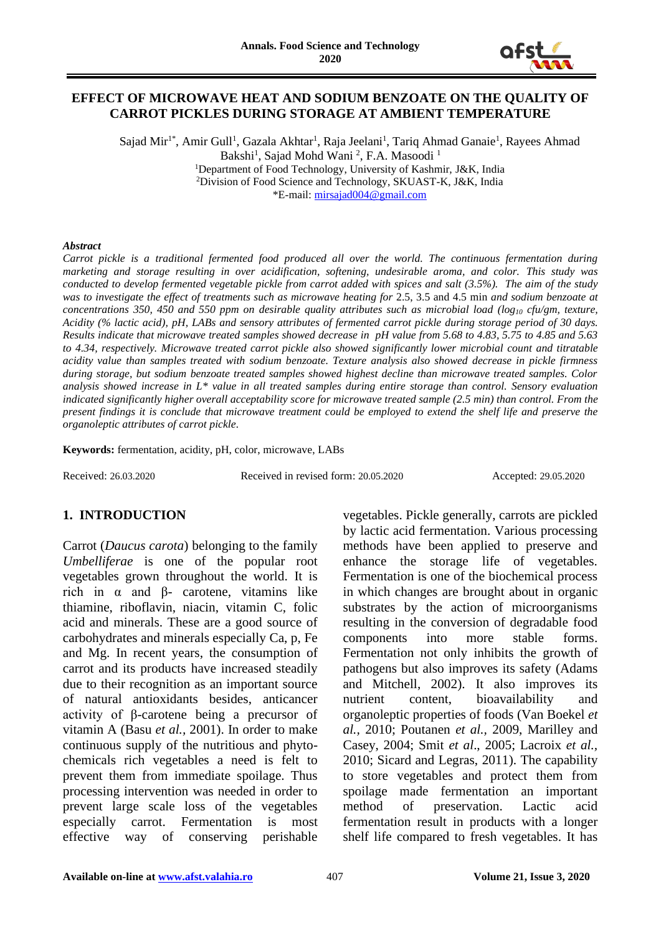

## **EFFECT OF MICROWAVE HEAT AND SODIUM BENZOATE ON THE QUALITY OF CARROT PICKLES DURING STORAGE AT AMBIENT TEMPERATURE**

Sajad Mir<sup>1\*</sup>, Amir Gull<sup>1</sup>, Gazala Akhtar<sup>1</sup>, Raja Jeelani<sup>1</sup>, Tariq Ahmad Ganaie<sup>1</sup>, Rayees Ahmad Bakshi<sup>1</sup>, Sajad Mohd Wani<sup>2</sup>, F.A. Masoodi<sup>1</sup> <sup>1</sup>Department of Food Technology, University of Kashmir, J&K, India <sup>2</sup>Division of Food Science and Technology, SKUAST-K, J&K, India \*E-mail: [mirsajad004@gmail.com](mailto:mirsajad004@gmail.com)

#### *Abstract*

*Carrot pickle is a traditional fermented food produced all over the world. The continuous fermentation during marketing and storage resulting in over acidification, softening, undesirable aroma, and color. This study was conducted to develop fermented vegetable pickle from carrot added with spices and salt (3.5%). The aim of the study was to investigate the effect of treatments such as microwave heating for* 2.5, 3.5 and 4.5 min *and sodium benzoate at concentrations 350, 450 and 550 ppm on desirable quality attributes such as microbial load (log<sup>10</sup> cfu/gm, texture, Acidity (% lactic acid), pH, LABs and sensory attributes of fermented carrot pickle during storage period of 30 days. Results indicate that microwave treated samples showed decrease in pH value from 5.68 to 4.83, 5.75 to 4.85 and 5.63 to 4.34, respectively. Microwave treated carrot pickle also showed significantly lower microbial count and titratable acidity value than samples treated with sodium benzoate. Texture analysis also showed decrease in pickle firmness during storage, but sodium benzoate treated samples showed highest decline than microwave treated samples. Color analysis showed increase in L\* value in all treated samples during entire storage than control. Sensory evaluation indicated significantly higher overall acceptability score for microwave treated sample (2.5 min) than control. From the present findings it is conclude that microwave treatment could be employed to extend the shelf life and preserve the organoleptic attributes of carrot pickle.*

**Keywords:** fermentation, acidity, pH, color, microwave, LABs

Received: 26.03.2020 Received in revised form: 20.05.2020 Accepted: 29.05.2020

## **1. INTRODUCTION**

Carrot (*Daucus carota*) belonging to the family *Umbelliferae* is one of the popular root vegetables grown throughout the world. It is rich in α and β- carotene, vitamins like thiamine, riboflavin, niacin, vitamin C, folic acid and minerals. These are a good source of carbohydrates and minerals especially Ca, p, Fe and Mg. In recent years, the consumption of carrot and its products have increased steadily due to their recognition as an important source of natural antioxidants besides, anticancer activity of β-carotene being a precursor of vitamin A (Basu *et al.,* 2001). In order to make continuous supply of the nutritious and phytochemicals rich vegetables a need is felt to prevent them from immediate spoilage. Thus processing intervention was needed in order to prevent large scale loss of the vegetables especially carrot. Fermentation is most effective way of conserving perishable

vegetables. Pickle generally, carrots are pickled by lactic acid fermentation. Various processing methods have been applied to preserve and enhance the storage life of vegetables. Fermentation is one of the biochemical process in which changes are brought about in organic substrates by the action of microorganisms resulting in the conversion of degradable food components into more stable forms. Fermentation not only inhibits the growth of pathogens but also improves its safety (Adams and Mitchell, 2002). It also improves its nutrient content, bioavailability and organoleptic properties of foods (Van Boekel *et al.,* 2010; Poutanen *et al.,* 2009, Marilley and Casey, 2004; Smit *et al*., 2005; Lacroix *et al.,*  2010; Sicard and Legras, 2011). The capability to store vegetables and protect them from spoilage made fermentation an important method of preservation. Lactic acid fermentation result in products with a longer shelf life compared to fresh vegetables. It has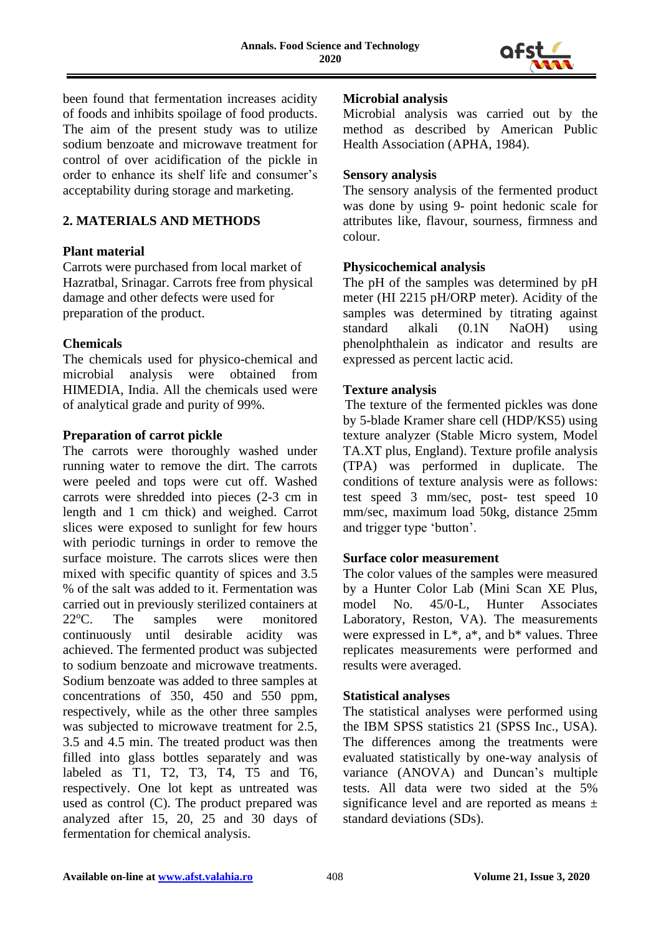

been found that fermentation increases acidity of foods and inhibits spoilage of food products. The aim of the present study was to utilize sodium benzoate and microwave treatment for control of over acidification of the pickle in order to enhance its shelf life and consumer's acceptability during storage and marketing.

## **2. MATERIALS AND METHODS**

## **Plant material**

Carrots were purchased from local market of Hazratbal, Srinagar. Carrots free from physical damage and other defects were used for preparation of the product.

## **Chemicals**

The chemicals used for physico-chemical and microbial analysis were obtained from HIMEDIA, India. All the chemicals used were of analytical grade and purity of 99%.

## **Preparation of carrot pickle**

The carrots were thoroughly washed under running water to remove the dirt. The carrots were peeled and tops were cut off. Washed carrots were shredded into pieces (2-3 cm in length and 1 cm thick) and weighed. Carrot slices were exposed to sunlight for few hours with periodic turnings in order to remove the surface moisture. The carrots slices were then mixed with specific quantity of spices and 3.5 % of the salt was added to it. Fermentation was carried out in previously sterilized containers at 22<sup>o</sup>C. The samples were monitored continuously until desirable acidity was achieved. The fermented product was subjected to sodium benzoate and microwave treatments. Sodium benzoate was added to three samples at concentrations of 350, 450 and 550 ppm, respectively, while as the other three samples was subjected to microwave treatment for 2.5, 3.5 and 4.5 min. The treated product was then filled into glass bottles separately and was labeled as T1, T2, T3, T4, T5 and T6, respectively. One lot kept as untreated was used as control (C). The product prepared was analyzed after 15, 20, 25 and 30 days of fermentation for chemical analysis.

## **Microbial analysis**

Microbial analysis was carried out by the method as described by American Public Health Association (APHA, 1984).

## **Sensory analysis**

The sensory analysis of the fermented product was done by using 9- point hedonic scale for attributes like, flavour, sourness, firmness and colour.

## **Physicochemical analysis**

The pH of the samples was determined by pH meter (HI 2215 pH/ORP meter). Acidity of the samples was determined by titrating against standard alkali (0.1N NaOH) using phenolphthalein as indicator and results are expressed as percent lactic acid.

## **Texture analysis**

 The texture of the fermented pickles was done by 5-blade Kramer share cell (HDP/KS5) using texture analyzer (Stable Micro system, Model TA.XT plus, England). Texture profile analysis (TPA) was performed in duplicate. The conditions of texture analysis were as follows: test speed 3 mm/sec, post- test speed 10 mm/sec, maximum load 50kg, distance 25mm and trigger type 'button'.

## **Surface color measurement**

The color values of the samples were measured by a Hunter Color Lab (Mini Scan XE Plus, model No. 45/0-L, Hunter Associates Laboratory, Reston, VA). The measurements were expressed in  $L^*$ ,  $a^*$ , and  $b^*$  values. Three replicates measurements were performed and results were averaged.

## **Statistical analyses**

The statistical analyses were performed using the IBM SPSS statistics 21 (SPSS Inc., USA). The differences among the treatments were evaluated statistically by one-way analysis of variance (ANOVA) and Duncan's multiple tests. All data were two sided at the 5% significance level and are reported as means  $\pm$ standard deviations (SDs).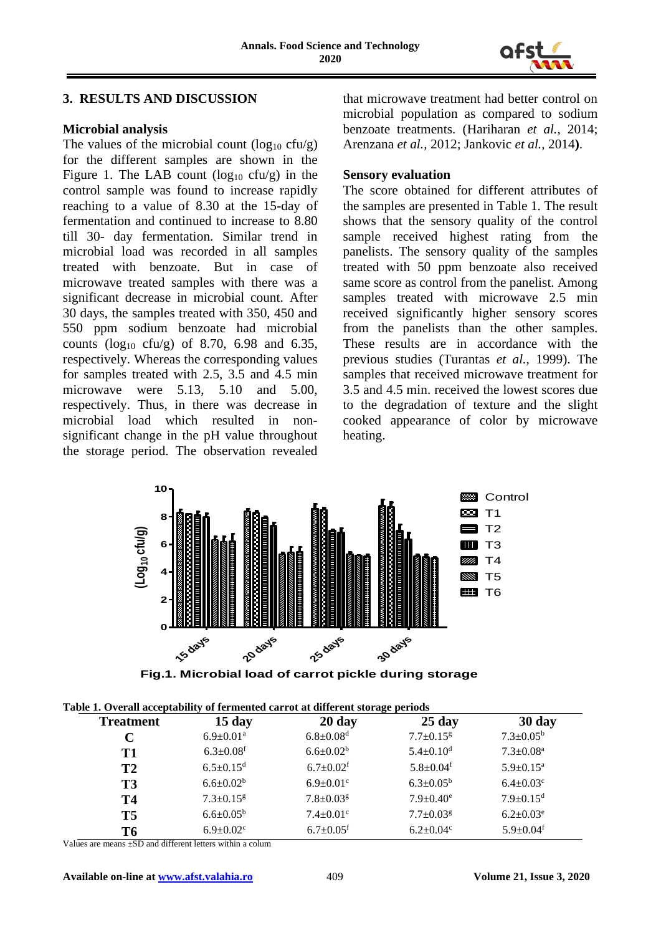

## **3. RESULTS AND DISCUSSION**

## **Microbial analysis**

The values of the microbial count  $(\log_{10} c f u/g)$ for the different samples are shown in the Figure 1. The LAB count  $(log_{10} cfu/g)$  in the control sample was found to increase rapidly reaching to a value of 8.30 at the 15-day of fermentation and continued to increase to 8.80 till 30- day fermentation. Similar trend in microbial load was recorded in all samples treated with benzoate. But in case of microwave treated samples with there was a significant decrease in microbial count. After 30 days, the samples treated with 350, 450 and 550 ppm sodium benzoate had microbial counts ( $log_{10}$  cfu/g) of 8.70, 6.98 and 6.35, respectively. Whereas the corresponding values for samples treated with 2.5, 3.5 and 4.5 min microwave were 5.13, 5.10 and 5.00, respectively. Thus, in there was decrease in microbial load which resulted in nonsignificant change in the pH value throughout the storage period. The observation revealed that microwave treatment had better control on microbial population as compared to sodium benzoate treatments. (Hariharan *et al.,* 2014; Arenzana *et al.,* 2012; Jankovic *et al.,* 2014**)**.

## **Sensory evaluation**

 The score obtained for different attributes of the samples are presented in Table 1. The result shows that the sensory quality of the control sample received highest rating from the panelists. The sensory quality of the samples treated with 50 ppm benzoate also received same score as control from the panelist. Among samples treated with microwave 2.5 min received significantly higher sensory scores from the panelists than the other samples. These results are in accordance with the previous studies (Turantas *et al.,* 1999). The samples that received microwave treatment for 3.5 and 4.5 min. received the lowest scores due to the degradation of texture and the slight cooked appearance of color by microwave heating.



| <b>Treatment</b> | $15 \mathrm{day}$           | $20 \text{ day}$            | $25 \text{ day}$            | 30 day                      |
|------------------|-----------------------------|-----------------------------|-----------------------------|-----------------------------|
|                  | $6.9 \pm 0.01$ <sup>a</sup> | $6.8 \pm 0.08$ <sup>d</sup> | $7.7 \pm 0.15$ <sup>g</sup> | $7.3 \pm 0.05^{\rm b}$      |
| T1               | $6.3 \pm 0.08$ <sup>f</sup> | $6.6 \pm 0.02^b$            | $5.4 \pm 0.10$ <sup>d</sup> | $7.3 \pm 0.08$ <sup>a</sup> |
| <b>T2</b>        | $6.5 \pm 0.15$ <sup>d</sup> | $6.7 \pm 0.02$ <sup>f</sup> | $5.8 \pm 0.04$ <sup>f</sup> | $5.9 \pm 0.15^a$            |
| T <sub>3</sub>   | $6.6 \pm 0.02^b$            | $6.9 \pm 0.01$ <sup>c</sup> | $6.3 \pm 0.05^b$            | $6.4 \pm 0.03$ <sup>c</sup> |
| <b>T4</b>        | $7.3 \pm 0.15$ <sup>g</sup> | $7.8 \pm 0.03$ <sup>g</sup> | $7.9 \pm 0.40^e$            | $7.9 \pm 0.15$ <sup>d</sup> |
| <b>T5</b>        | $6.6 \pm 0.05^{\rm b}$      | $7.4 \pm 0.01$ <sup>c</sup> | $7.7 \pm 0.03$ <sup>g</sup> | $6.2 \pm 0.03^e$            |
| T6               | $6.9 \pm 0.02$ <sup>c</sup> | $6.7 \pm 0.05$ <sup>f</sup> | $6.2 \pm 0.04$ c            | $5.9 \pm 0.04$ <sup>f</sup> |

|  |  |  | Table 1. Overall acceptability of fermented carrot at different storage periods |
|--|--|--|---------------------------------------------------------------------------------|
|  |  |  |                                                                                 |

Values are means ±SD and different letters within a colum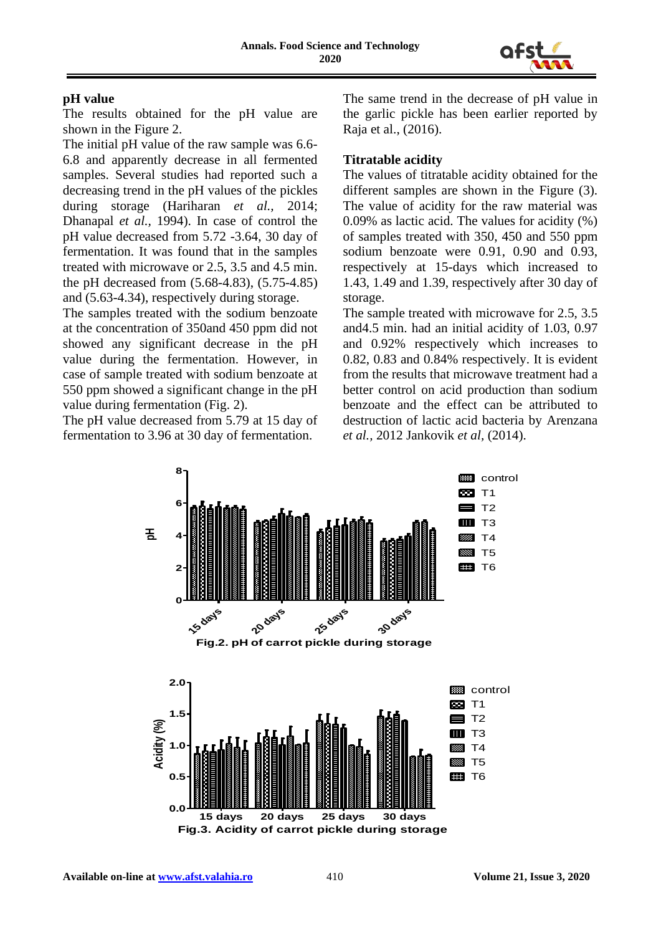

## **pH value**

 The results obtained for the pH value are shown in the Figure 2.

The initial pH value of the raw sample was 6.6- 6.8 and apparently decrease in all fermented samples. Several studies had reported such a decreasing trend in the pH values of the pickles during storage (Hariharan *et al.,* 2014; Dhanapal *et al.,* 1994). In case of control the pH value decreased from 5.72 -3.64, 30 day of fermentation. It was found that in the samples treated with microwave or 2.5, 3.5 and 4.5 min. the pH decreased from (5.68-4.83), (5.75-4.85) and (5.63-4.34), respectively during storage.

The samples treated with the sodium benzoate at the concentration of 350and 450 ppm did not showed any significant decrease in the pH value during the fermentation. However, in case of sample treated with sodium benzoate at 550 ppm showed a significant change in the pH value during fermentation (Fig. 2).

The pH value decreased from 5.79 at 15 day of fermentation to 3.96 at 30 day of fermentation.

The same trend in the decrease of pH value in the garlic pickle has been earlier reported by Raja et al., (2016).

# **Titratable acidity**

The values of titratable acidity obtained for the different samples are shown in the Figure (3). The value of acidity for the raw material was 0.09% as lactic acid. The values for acidity (%) of samples treated with 350, 450 and 550 ppm sodium benzoate were 0.91, 0.90 and 0.93, respectively at 15-days which increased to 1.43, 1.49 and 1.39, respectively after 30 day of storage.

The sample treated with microwave for 2.5, 3.5 and4.5 min. had an initial acidity of 1.03, 0.97 and 0.92% respectively which increases to 0.82, 0.83 and 0.84% respectively. It is evident from the results that microwave treatment had a better control on acid production than sodium benzoate and the effect can be attributed to destruction of lactic acid bacteria by Arenzana *et al.,* 2012 Jankovik *et al,* (2014).

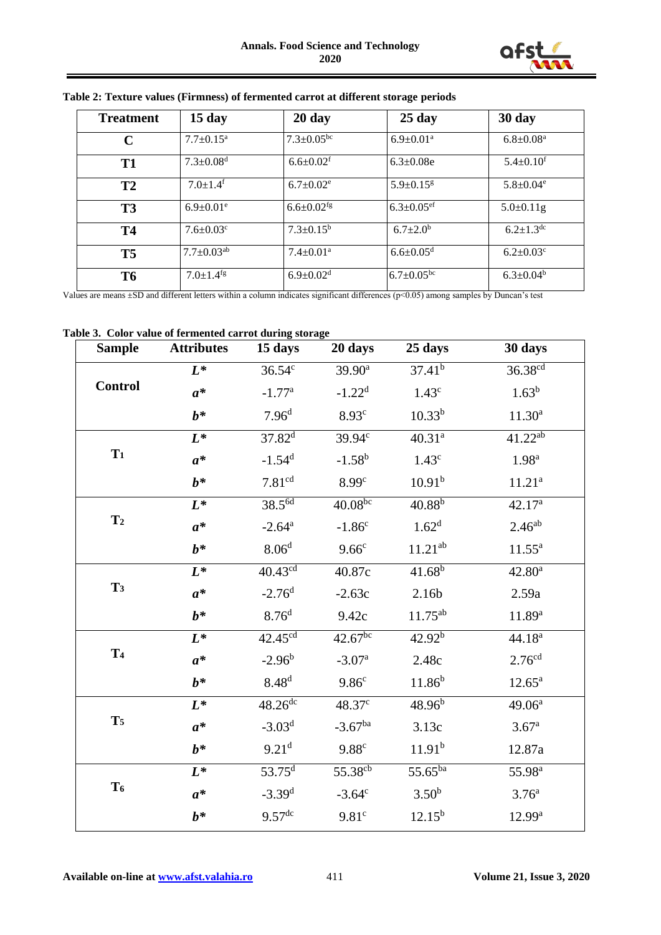

| <b>Treatment</b> | $15 \text{ day}$             | $20 \text{ day}$             | $25 \text{ day}$             | 30 day                      |
|------------------|------------------------------|------------------------------|------------------------------|-----------------------------|
| $\mathbf C$      | $7.7+0.15^{\rm a}$           | $7.3 \pm 0.05$ <sup>bc</sup> | $6.9 \pm 0.01$ <sup>a</sup>  | $6.8 \pm 0.08$ <sup>a</sup> |
| T <sub>1</sub>   | $7.3 \pm 0.08$ <sup>d</sup>  | $6.6 \pm 0.02$ <sup>f</sup>  | $6.3 \pm 0.08$ e             | $5.4 \pm 0.10$ <sup>f</sup> |
| T2               | $7.0 \pm 1.4$ <sup>f</sup>   | $6.7 \pm 0.02$ <sup>e</sup>  | $5.9 + 0.15$ <sup>g</sup>    | $5.8 \pm 0.04$ <sup>e</sup> |
| T <sub>3</sub>   | $6.9 \pm 0.01$ <sup>e</sup>  | $6.6 \pm 0.02$ <sup>fg</sup> | $6.3 \pm 0.05$ <sup>ef</sup> | $5.0 \pm 0.11$ g            |
| <b>T4</b>        | $7.6 \pm 0.03$ <sup>c</sup>  | $7.3 \pm 0.15^b$             | $6.7 \pm 2.0^b$              | $6.2 \pm 1.3$ dc            |
| <b>T5</b>        | $7.7 \pm 0.03$ <sup>ab</sup> | $7.4 \pm 0.01$ <sup>a</sup>  | $6.6 \pm 0.05$ <sup>d</sup>  | $6.2 \pm 0.03$ <sup>c</sup> |
| <b>T6</b>        | $7.0 \pm 1.4$ <sup>fg</sup>  | $6.9 \pm 0.02$ <sup>d</sup>  | $6.7 \pm 0.05^{\rm bc}$      | $6.3 \pm 0.04^b$            |

#### **Table 2: Texture values (Firmness) of fermented carrot at different storage periods**

Values are means ±SD and different letters within a column indicates significant differences (p<0.05) among samples by Duncan's test

#### **Table 3. Color value of fermented carrot during storage**

| <b>Sample</b>  | <b>Attributes</b> | 15 days                | 20 days             | 25 days            | 30 days             |
|----------------|-------------------|------------------------|---------------------|--------------------|---------------------|
| <b>Control</b> | $L^*$             | $36.54^c$              | $39.90^{\text{a}}$  | $37.41^{b}$        | 36.38 <sup>cd</sup> |
|                | $a^*$             | $-1.77$ <sup>a</sup>   | $-1.22d$            | 1.43 <sup>c</sup>  | $1.63^b$            |
|                | $b^*$             | 7.96 <sup>d</sup>      | 8.93 <sup>c</sup>   | $10.33^{b}$        | $11.30^a$           |
| $T_1$          | $L^*$             | $37.82^{\overline{d}}$ | $39.94^{\circ}$     | 40.31 <sup>a</sup> | $41.22^{ab}$        |
|                | $a^*$             | $-1.54$ <sup>d</sup>   | $-1.58^{b}$         | 1.43 <sup>c</sup>  | 1.98 <sup>a</sup>   |
|                | $b^*$             | 7.81 <sup>cd</sup>     | 8.99 <sup>c</sup>   | 10.91 <sup>b</sup> | 11.21 <sup>a</sup>  |
| T <sub>2</sub> | $L^*$             | 38.5 <sup>6d</sup>     | $40.08^{bc}$        | $40.88^{b}$        | 42.17 <sup>a</sup>  |
|                | $a^*$             | $-2.64^{\mathrm{a}}$   | $-1.86^c$           | 1.62 <sup>d</sup>  | $2.46^{ab}$         |
|                | $b^*$             | 8.06 <sup>d</sup>      | 9.66 <sup>c</sup>   | $11.21^{ab}$       | $11.55^{\rm a}$     |
| T <sub>3</sub> | $L^*$             | 40.43 <sup>cd</sup>    | 40.87c              | $41.68^{b}$        | $42.80^a$           |
|                | $a^*$             | $-2.76d$               | $-2.63c$            | 2.16 <sub>b</sub>  | 2.59a               |
|                | $b^*$             | 8.76 <sup>d</sup>      | 9.42c               | $11.75^{ab}$       | $11.89^{a}$         |
| T <sub>4</sub> | $L^*$             | 42.45 <sup>cd</sup>    | $42.67^{bc}$        | $42.92^{b}$        | 44.18 <sup>a</sup>  |
|                | $a^*$             | $-2.96^b$              | $-3.07a$            | 2.48c              | 2.76 <sup>cd</sup>  |
|                | $b^*$             | 8.48 <sup>d</sup>      | 9.86 <sup>c</sup>   | $11.86^{b}$        | $12.65^{\rm a}$     |
| T <sub>5</sub> | $L^*$             | $48.26$ dc             | 48.37 <sup>c</sup>  | $48.96^{b}$        | 49.06 <sup>a</sup>  |
|                | $a^*$             | $-3.03d$               | $-3.67^{ba}$        | 3.13c              | 3.67 <sup>a</sup>   |
|                | $b^*$             | 9.21 <sup>d</sup>      | 9.88 <sup>c</sup>   | 11.91 <sup>b</sup> | 12.87a              |
| T <sub>6</sub> | $L^*$             | 53.75 <sup>d</sup>     | 55.38 <sup>cb</sup> | 55.65ba            | 55.98 <sup>a</sup>  |
|                | $a^*$             | $-3.39d$               | $-3.64^c$           | $3.50^{b}$         | 3.76 <sup>a</sup>   |
|                | $b^*$             | $9.57$ <sup>dc</sup>   | 9.81 <sup>c</sup>   | $12.15^{b}$        | 12.99 <sup>a</sup>  |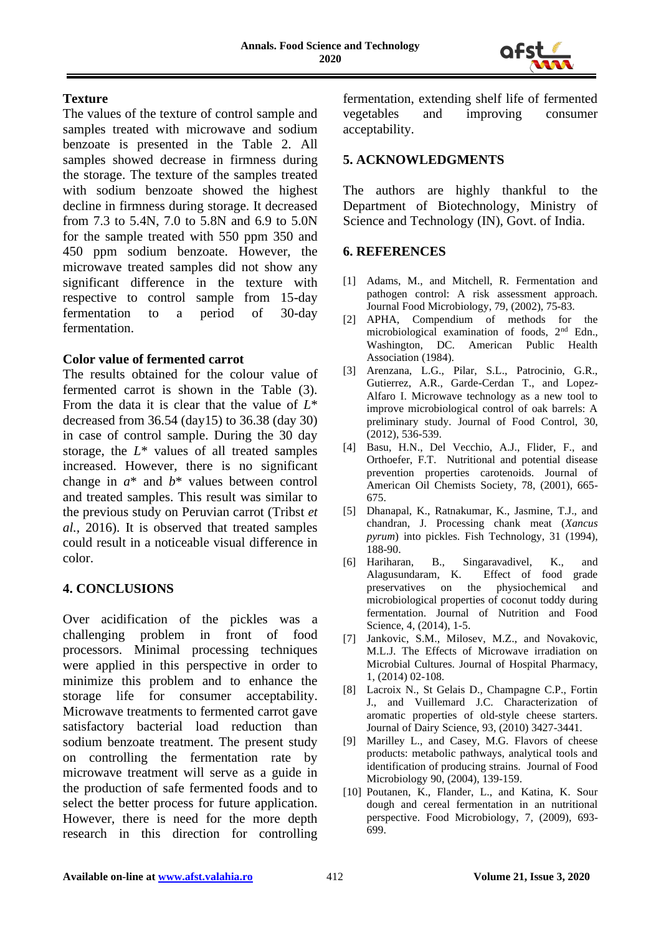

## **Texture**

The values of the texture of control sample and samples treated with microwave and sodium benzoate is presented in the Table 2. All samples showed decrease in firmness during the storage. The texture of the samples treated with sodium benzoate showed the highest decline in firmness during storage. It decreased from 7.3 to 5.4N, 7.0 to 5.8N and 6.9 to 5.0N for the sample treated with 550 ppm 350 and 450 ppm sodium benzoate. However, the microwave treated samples did not show any significant difference in the texture with respective to control sample from 15-day fermentation to a period of 30-day fermentation.

## **Color value of fermented carrot**

The results obtained for the colour value of fermented carrot is shown in the Table (3). From the data it is clear that the value of *L*\* decreased from 36.54 (day15) to 36.38 (day 30) in case of control sample. During the 30 day storage, the *L*\* values of all treated samples increased. However, there is no significant change in *a*\* and *b*\* values between control and treated samples. This result was similar to the previous study on Peruvian carrot (Tribst *et al.,* 2016). It is observed that treated samples could result in a noticeable visual difference in color.

## **4. CONCLUSIONS**

Over acidification of the pickles was a challenging problem in front of food processors. Minimal processing techniques were applied in this perspective in order to minimize this problem and to enhance the storage life for consumer acceptability. Microwave treatments to fermented carrot gave satisfactory bacterial load reduction than sodium benzoate treatment. The present study on controlling the fermentation rate by microwave treatment will serve as a guide in the production of safe fermented foods and to select the better process for future application. However, there is need for the more depth research in this direction for controlling fermentation, extending shelf life of fermented vegetables and improving consumer acceptability.

## **5. ACKNOWLEDGMENTS**

The authors are highly thankful to the Department of Biotechnology, Ministry of Science and Technology (IN), Govt. of India.

## **6. REFERENCES**

- [1] Adams, M., and Mitchell, R. Fermentation and pathogen control: A risk assessment approach. Journal Food Microbiology*,* 79, (2002), 75-83.
- [2] APHA, Compendium of methods for the microbiological examination of foods, 2nd Edn., Washington, DC. American Public Health Association (1984).
- [3] Arenzana, L.G., Pilar, S.L., Patrocinio, G.R., Gutierrez, A.R., Garde-Cerdan T., and Lopez-Alfaro I. Microwave technology as a new tool to improve microbiological control of oak barrels: A preliminary study*.* Journal of Food Control, 30, (2012), 536-539.
- [4] Basu, H.N., Del Vecchio, A.J., Flider, F., and Orthoefer, F.T. Nutritional and potential disease prevention properties carotenoids. Journal of American Oil Chemists Society, 78, (2001), 665- 675.
- [5] Dhanapal, K., Ratnakumar, K., Jasmine, T.J., and chandran, J. Processing chank meat (*Xancus pyrum*) into pickles. Fish Technology, 31 (1994), 188-90.
- [6] Hariharan, B., Singaravadivel, K., and Effect of food grade preservatives on the physiochemical and microbiological properties of coconut toddy during fermentation. Journal of Nutrition and Food Science, 4, (2014), 1-5.
- [7] Jankovic, S.M., Milosev, M.Z., and Novakovic, M.L.J. The Effects of Microwave irradiation on Microbial Cultures. Journal of Hospital Pharmacy, 1, (2014) 02-108.
- [8] Lacroix N., St Gelais D., Champagne C.P., Fortin J., and Vuillemard J.C. Characterization of aromatic properties of old-style cheese starters. Journal of Dairy Science, 93, (2010) 3427-3441.
- [9] Marilley L., and Casey, M.G. Flavors of cheese products: metabolic pathways, analytical tools and identification of producing strains. Journal of Food Microbiology 90, (2004), 139-159.
- [10] Poutanen, K., Flander, L., and Katina, K. Sour dough and cereal fermentation in an nutritional perspective. Food Microbiology, 7, (2009), 693- 699.